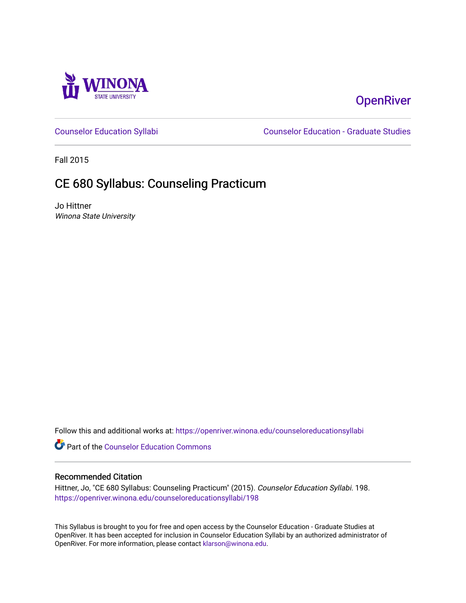

# **OpenRiver**

[Counselor Education Syllabi](https://openriver.winona.edu/counseloreducationsyllabi) [Counselor Education - Graduate Studies](https://openriver.winona.edu/counseloreducation) 

Fall 2015

# CE 680 Syllabus: Counseling Practicum

Jo Hittner Winona State University

Follow this and additional works at: [https://openriver.winona.edu/counseloreducationsyllabi](https://openriver.winona.edu/counseloreducationsyllabi?utm_source=openriver.winona.edu%2Fcounseloreducationsyllabi%2F198&utm_medium=PDF&utm_campaign=PDFCoverPages)

Part of the [Counselor Education Commons](http://network.bepress.com/hgg/discipline/1278?utm_source=openriver.winona.edu%2Fcounseloreducationsyllabi%2F198&utm_medium=PDF&utm_campaign=PDFCoverPages) 

#### Recommended Citation

Hittner, Jo, "CE 680 Syllabus: Counseling Practicum" (2015). Counselor Education Syllabi. 198. [https://openriver.winona.edu/counseloreducationsyllabi/198](https://openriver.winona.edu/counseloreducationsyllabi/198?utm_source=openriver.winona.edu%2Fcounseloreducationsyllabi%2F198&utm_medium=PDF&utm_campaign=PDFCoverPages)

This Syllabus is brought to you for free and open access by the Counselor Education - Graduate Studies at OpenRiver. It has been accepted for inclusion in Counselor Education Syllabi by an authorized administrator of OpenRiver. For more information, please contact [klarson@winona.edu](mailto:klarson@winona.edu).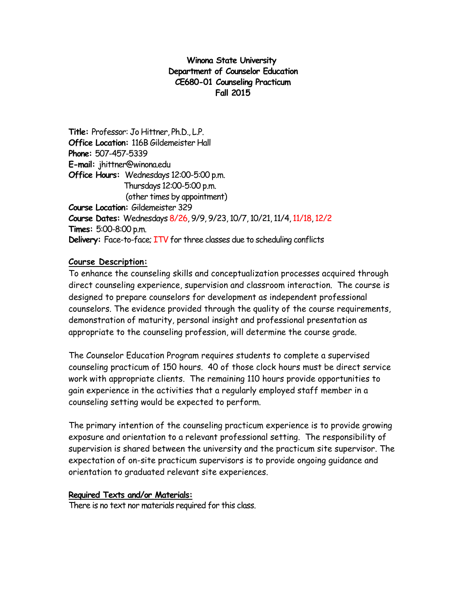### **Winona State University Department of Counselor Education CE680-01 Counseling Practicum Fall 2015**

**Title:** Professor: Jo Hittner, Ph.D., L.P. **Office Location:** 116B Gildemeister Hall **Phone:** 507-457-5339 **E-mail:** jhittner@winona.edu **Office Hours:** Wednesdays 12:00-5:00 p.m. Thursdays 12:00-5:00 p.m. (other times by appointment) **Course Location:** Gildemeister 329 **Course Dates:** Wednesdays 8/26, 9/9, 9/23, 10/7, 10/21, 11/4, 11/18, 12/2 **Times:** 5:00-8:00 p.m. **Delivery:** Face-to-face; ITV for three classes due to scheduling conflicts

#### **Course Description:**

To enhance the counseling skills and conceptualization processes acquired through direct counseling experience, supervision and classroom interaction. The course is designed to prepare counselors for development as independent professional counselors. The evidence provided through the quality of the course requirements, demonstration of maturity, personal insight and professional presentation as appropriate to the counseling profession, will determine the course grade.

The Counselor Education Program requires students to complete a supervised counseling practicum of 150 hours. 40 of those clock hours must be direct service work with appropriate clients. The remaining 110 hours provide opportunities to gain experience in the activities that a regularly employed staff member in a counseling setting would be expected to perform.

The primary intention of the counseling practicum experience is to provide growing exposure and orientation to a relevant professional setting. The responsibility of supervision is shared between the university and the practicum site supervisor. The expectation of on-site practicum supervisors is to provide ongoing guidance and orientation to graduated relevant site experiences.

#### **Required Texts and/or Materials:**

There is no text nor materials required for this class.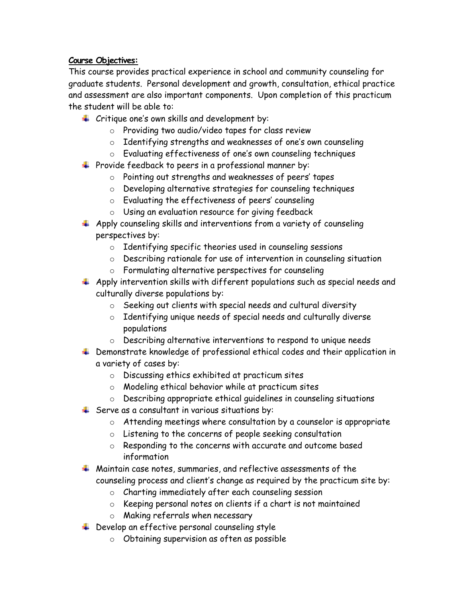## **Course Objectives:**

This course provides practical experience in school and community counseling for graduate students. Personal development and growth, consultation, ethical practice and assessment are also important components. Upon completion of this practicum the student will be able to:

- $\downarrow$  Critique one's own skills and development by:
	- o Providing two audio/video tapes for class review
	- o Identifying strengths and weaknesses of one's own counseling
	- o Evaluating effectiveness of one's own counseling techniques
- $\ddot{\phantom{1}}$  Provide feedback to peers in a professional manner by:
	- o Pointing out strengths and weaknesses of peers' tapes
	- o Developing alternative strategies for counseling techniques
	- o Evaluating the effectiveness of peers' counseling
	- o Using an evaluation resource for giving feedback
- $\ddotplus$  Apply counseling skills and interventions from a variety of counseling perspectives by:
	- o Identifying specific theories used in counseling sessions
	- o Describing rationale for use of intervention in counseling situation
	- o Formulating alternative perspectives for counseling
- $\ddotplus$  Apply intervention skills with different populations such as special needs and culturally diverse populations by:
	- o Seeking out clients with special needs and cultural diversity
	- o Identifying unique needs of special needs and culturally diverse populations
	- o Describing alternative interventions to respond to unique needs
- ↓ Demonstrate knowledge of professional ethical codes and their application in a variety of cases by:
	- o Discussing ethics exhibited at practicum sites
	- o Modeling ethical behavior while at practicum sites
	- o Describing appropriate ethical guidelines in counseling situations
- $\frac{1}{2}$  Serve as a consultant in various situations by:
	- o Attending meetings where consultation by a counselor is appropriate
	- o Listening to the concerns of people seeking consultation
	- o Responding to the concerns with accurate and outcome based information
- $\ddotplus$  Maintain case notes, summaries, and reflective assessments of the counseling process and client's change as required by the practicum site by:
	- o Charting immediately after each counseling session
	- o Keeping personal notes on clients if a chart is not maintained
	- o Making referrals when necessary
- $\ddotplus$  Develop an effective personal counseling style
	- o Obtaining supervision as often as possible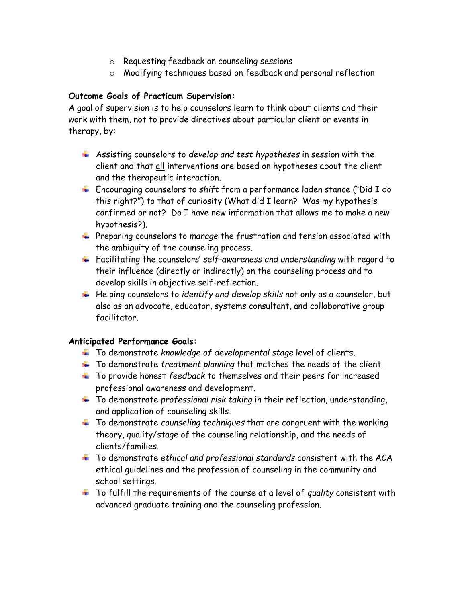- o Requesting feedback on counseling sessions
- o Modifying techniques based on feedback and personal reflection

## **Outcome Goals of Practicum Supervision:**

A goal of supervision is to help counselors learn to think about clients and their work with them, not to provide directives about particular client or events in therapy, by:

- Assisting counselors to *develop and test hypotheses* in session with the client and that all interventions are based on hypotheses about the client and the therapeutic interaction.
- Encouraging counselors to *shift* from a performance laden stance ("Did I do this right?") to that of curiosity (What did I learn? Was my hypothesis confirmed or not? Do I have new information that allows me to make a new hypothesis?).
- **+** Preparing counselors to manage the frustration and tension associated with the ambiguity of the counseling process.
- Facilitating the counselors' *self-awareness and understanding* with regard to their influence (directly or indirectly) on the counseling process and to develop skills in objective self-reflection.
- Helping counselors to *identify and develop skills* not only as a counselor, but also as an advocate, educator, systems consultant, and collaborative group facilitator.

#### **Anticipated Performance Goals:**

- To demonstrate *knowledge of developmental stage* level of clients.
- To demonstrate *treatment planning* that matches the needs of the client.
- To provide honest *feedback* to themselves and their peers for increased professional awareness and development.
- To demonstrate *professional risk taking* in their reflection, understanding, and application of counseling skills.
- To demonstrate *counseling techniques* that are congruent with the working theory, quality/stage of the counseling relationship, and the needs of clients/families.
- To demonstrate *ethical and professional standards* consistent with the ACA ethical guidelines and the profession of counseling in the community and school settings.
- To fulfill the requirements of the course at a level of *quality* consistent with advanced graduate training and the counseling profession.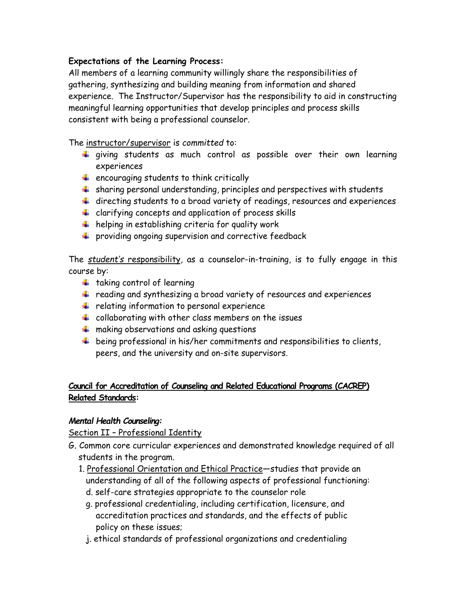## **Expectations of the Learning Process:**

All members of a learning community willingly share the responsibilities of gathering, synthesizing and building meaning from information and shared experience. The Instructor/Supervisor has the responsibility to aid in constructing meaningful learning opportunities that develop principles and process skills consistent with being a professional counselor.

The instructor/supervisor is *committed* to:

- $\ddotplus$  giving students as much control as possible over their own learning experiences
- $\frac{1}{2}$  encouraging students to think critically
- $\ddot{+}$  sharing personal understanding, principles and perspectives with students
- $\ddot{+}$  directing students to a broad variety of readings, resources and experiences
- $\ddot{\phantom{1}}$  clarifying concepts and application of process skills
- $\ddotplus$  helping in establishing criteria for quality work
- $\ddot{\phantom{1}}$  providing ongoing supervision and corrective feedback

The *student's* responsibility, as a counselor-in-training, is to fully engage in this course by:

- $\ddot{\phantom{a}}$  taking control of learning
- reading and synthesizing a broad variety of resources and experiences
- $\frac{1}{2}$  relating information to personal experience
- $\ddot{*}$  collaborating with other class members on the issues
- $\frac{1}{2}$  making observations and asking questions
- $\ddotplus$  being professional in his/her commitments and responsibilities to clients, peers, and the university and on-site supervisors.

# **Council for Accreditation of Counseling and Related Educational Programs (CACREP) Related Standards:**

## *Mental Health Counseling:*

Section II – Professional Identity

- G. Common core curricular experiences and demonstrated knowledge required of all students in the program.
	- 1. Professional Orientation and Ethical Practice—studies that provide an understanding of all of the following aspects of professional functioning:
		- d. self-care strategies appropriate to the counselor role
		- g. professional credentialing, including certification, licensure, and accreditation practices and standards, and the effects of public policy on these issues;
		- j. ethical standards of professional organizations and credentialing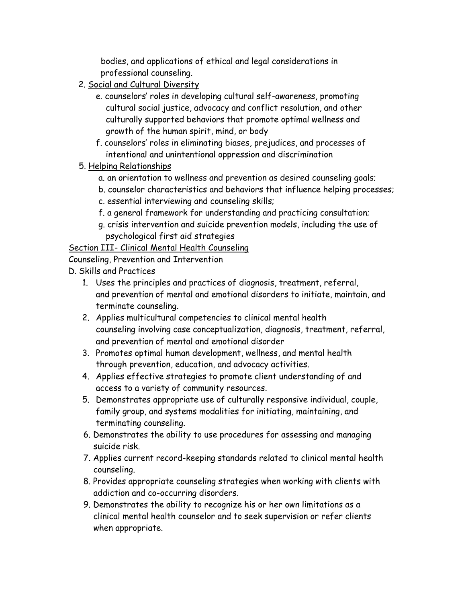bodies, and applications of ethical and legal considerations in professional counseling.

- 2. Social and Cultural Diversity
	- e. counselors' roles in developing cultural self-awareness, promoting cultural social justice, advocacy and conflict resolution, and other culturally supported behaviors that promote optimal wellness and growth of the human spirit, mind, or body
	- f. counselors' roles in eliminating biases, prejudices, and processes of intentional and unintentional oppression and discrimination
- 5. Helping Relationships
	- a. an orientation to wellness and prevention as desired counseling goals;
	- b. counselor characteristics and behaviors that influence helping processes;
	- c. essential interviewing and counseling skills;
	- f. a general framework for understanding and practicing consultation;
	- g. crisis intervention and suicide prevention models, including the use of psychological first aid strategies

Section III- Clinical Mental Health Counseling

# Counseling, Prevention and Intervention

- D. Skills and Practices
	- 1. Uses the principles and practices of diagnosis, treatment, referral, and prevention of mental and emotional disorders to initiate, maintain, and terminate counseling.
	- 2. Applies multicultural competencies to clinical mental health counseling involving case conceptualization, diagnosis, treatment, referral, and prevention of mental and emotional disorder
	- 3. Promotes optimal human development, wellness, and mental health through prevention, education, and advocacy activities.
	- 4. Applies effective strategies to promote client understanding of and access to a variety of community resources.
	- 5. Demonstrates appropriate use of culturally responsive individual, couple, family group, and systems modalities for initiating, maintaining, and terminating counseling.
	- 6. Demonstrates the ability to use procedures for assessing and managing suicide risk.
	- 7. Applies current record-keeping standards related to clinical mental health counseling.
	- 8. Provides appropriate counseling strategies when working with clients with addiction and co-occurring disorders.
	- 9. Demonstrates the ability to recognize his or her own limitations as a clinical mental health counselor and to seek supervision or refer clients when appropriate.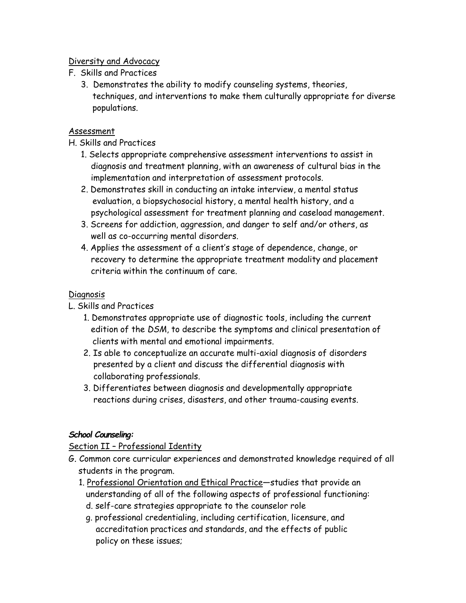## Diversity and Advocacy

- F. Skills and Practices
	- 3. Demonstrates the ability to modify counseling systems, theories, techniques, and interventions to make them culturally appropriate for diverse populations.

## Assessment

## H. Skills and Practices

- 1. Selects appropriate comprehensive assessment interventions to assist in diagnosis and treatment planning, with an awareness of cultural bias in the implementation and interpretation of assessment protocols.
- 2. Demonstrates skill in conducting an intake interview, a mental status evaluation, a biopsychosocial history, a mental health history, and a psychological assessment for treatment planning and caseload management.
- 3. Screens for addiction, aggression, and danger to self and/or others, as well as co-occurring mental disorders.
- 4. Applies the assessment of a client's stage of dependence, change, or recovery to determine the appropriate treatment modality and placement criteria within the continuum of care.

## Diagnosis

L. Skills and Practices

- 1. Demonstrates appropriate use of diagnostic tools, including the current edition of the *DSM*, to describe the symptoms and clinical presentation of clients with mental and emotional impairments.
- 2. Is able to conceptualize an accurate multi-axial diagnosis of disorders presented by a client and discuss the differential diagnosis with collaborating professionals.
- 3. Differentiates between diagnosis and developmentally appropriate reactions during crises, disasters, and other trauma-causing events.

# *School Counseling:*

# Section II – Professional Identity

- G. Common core curricular experiences and demonstrated knowledge required of all students in the program.
	- 1. Professional Orientation and Ethical Practice—studies that provide an understanding of all of the following aspects of professional functioning:
		- d. self-care strategies appropriate to the counselor role g. professional credentialing, including certification, licensure, and
		- accreditation practices and standards, and the effects of public policy on these issues;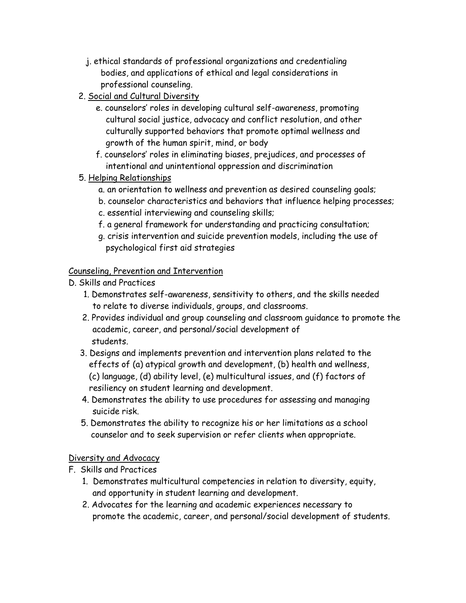- j. ethical standards of professional organizations and credentialing bodies, and applications of ethical and legal considerations in professional counseling.
- 2. Social and Cultural Diversity
	- e. counselors' roles in developing cultural self-awareness, promoting cultural social justice, advocacy and conflict resolution, and other culturally supported behaviors that promote optimal wellness and growth of the human spirit, mind, or body
	- f. counselors' roles in eliminating biases, prejudices, and processes of intentional and unintentional oppression and discrimination
- 5. Helping Relationships
	- a. an orientation to wellness and prevention as desired counseling goals;
	- b. counselor characteristics and behaviors that influence helping processes;
	- c. essential interviewing and counseling skills;
	- f. a general framework for understanding and practicing consultation;
	- g. crisis intervention and suicide prevention models, including the use of psychological first aid strategies

# Counseling, Prevention and Intervention

- D. Skills and Practices
	- 1. Demonstrates self-awareness, sensitivity to others, and the skills needed to relate to diverse individuals, groups, and classrooms.
	- 2. Provides individual and group counseling and classroom guidance to promote the academic, career, and personal/social development of students.
	- 3. Designs and implements prevention and intervention plans related to the effects of (a) atypical growth and development, (b) health and wellness, (c) language, (d) ability level, (e) multicultural issues, and (f) factors of resiliency on student learning and development.
	- 4. Demonstrates the ability to use procedures for assessing and managing suicide risk.
	- 5. Demonstrates the ability to recognize his or her limitations as a school counselor and to seek supervision or refer clients when appropriate.

# Diversity and Advocacy

- F. Skills and Practices
	- 1. Demonstrates multicultural competencies in relation to diversity, equity, and opportunity in student learning and development.
	- 2. Advocates for the learning and academic experiences necessary to promote the academic, career, and personal/social development of students.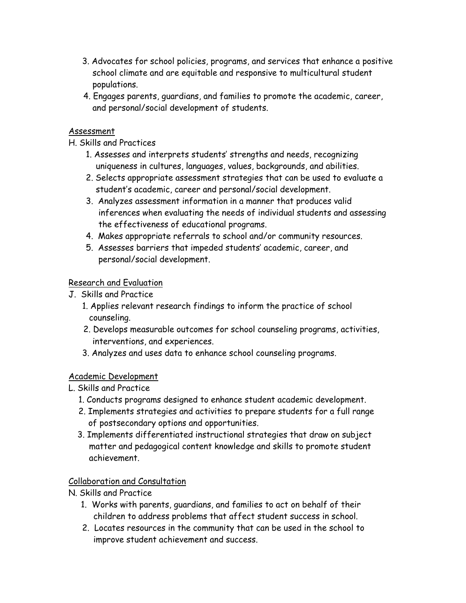- 3. Advocates for school policies, programs, and services that enhance a positive school climate and are equitable and responsive to multicultural student populations.
- 4. Engages parents, guardians, and families to promote the academic, career, and personal/social development of students.

## Assessment

# H. Skills and Practices

- 1. Assesses and interprets students' strengths and needs, recognizing uniqueness in cultures, languages, values, backgrounds, and abilities.
- 2. Selects appropriate assessment strategies that can be used to evaluate a student's academic, career and personal/social development.
- 3. Analyzes assessment information in a manner that produces valid inferences when evaluating the needs of individual students and assessing the effectiveness of educational programs.
- 4. Makes appropriate referrals to school and/or community resources.
- 5. Assesses barriers that impeded students' academic, career, and personal/social development.

# Research and Evaluation

- J. Skills and Practice
	- 1. Applies relevant research findings to inform the practice of school counseling.
	- 2. Develops measurable outcomes for school counseling programs, activities, interventions, and experiences.
	- 3. Analyzes and uses data to enhance school counseling programs.

# Academic Development

- L. Skills and Practice
	- 1. Conducts programs designed to enhance student academic development.
	- 2. Implements strategies and activities to prepare students for a full range of postsecondary options and opportunities.
	- 3. Implements differentiated instructional strategies that draw on subject matter and pedagogical content knowledge and skills to promote student achievement.

## Collaboration and Consultation

N. Skills and Practice

- 1. Works with parents, guardians, and families to act on behalf of their children to address problems that affect student success in school.
- 2. Locates resources in the community that can be used in the school to improve student achievement and success.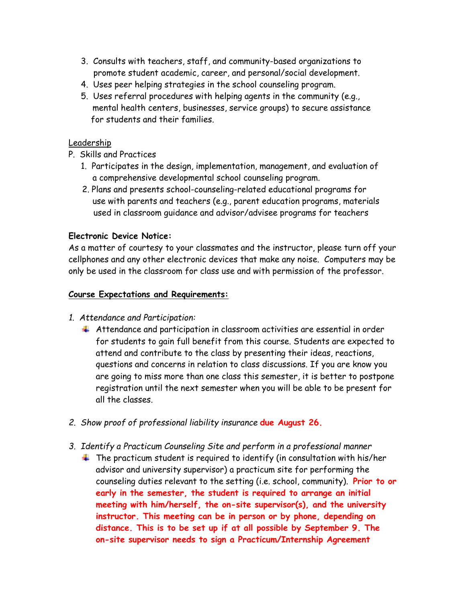- 3. Consults with teachers, staff, and community-based organizations to promote student academic, career, and personal/social development.
- 4. Uses peer helping strategies in the school counseling program.
- 5. Uses referral procedures with helping agents in the community (e.g., mental health centers, businesses, service groups) to secure assistance for students and their families.

#### Leadership

- P. Skills and Practices
	- 1. Participates in the design, implementation, management, and evaluation of a comprehensive developmental school counseling program.
	- 2. Plans and presents school-counseling-related educational programs for use with parents and teachers (e.g., parent education programs, materials used in classroom guidance and advisor/advisee programs for teachers

#### **Electronic Device Notice:**

As a matter of courtesy to your classmates and the instructor, please turn off your cellphones and any other electronic devices that make any noise. Computers may be only be used in the classroom for class use and with permission of the professor.

#### **Course Expectations and Requirements:**

#### *1. Attendance and Participation:*

- $\ddotplus$  Attendance and participation in classroom activities are essential in order for students to gain full benefit from this course. Students are expected to attend and contribute to the class by presenting their ideas, reactions, questions and concerns in relation to class discussions. If you are know you are going to miss more than one class this semester, it is better to postpone registration until the next semester when you will be able to be present for all the classes.
- *2. Show proof of professional liability insurance* **due August 26.**
- *3. Identify a Practicum Counseling Site and perform in a professional manner* 
	- $\ddot{\phantom{1}}$  The practicum student is required to identify (in consultation with his/her advisor and university supervisor) a practicum site for performing the counseling duties relevant to the setting (i.e. school, community). **Prior to or early in the semester, the student is required to arrange an initial meeting with him/herself, the on-site supervisor(s), and the university instructor. This meeting can be in person or by phone, depending on distance. This is to be set up if at all possible by September 9. The on-site supervisor needs to sign a Practicum/Internship Agreement**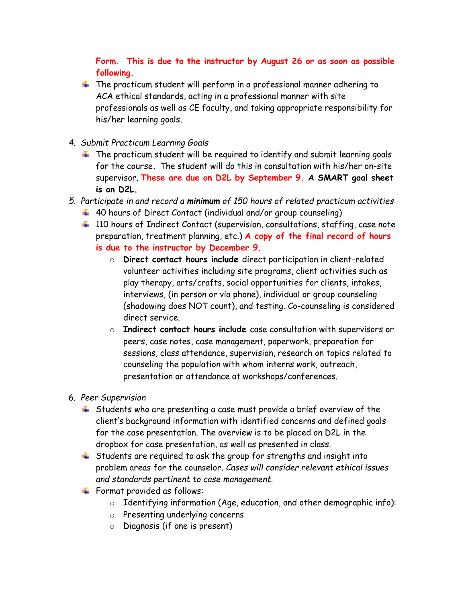# **Form. This is due to the instructor by August 26 or as soon as possible following.**

- $\ddot{\phantom{1}}$  The practicum student will perform in a professional manner adhering to ACA ethical standards, acting in a professional manner with site professionals as well as CE faculty, and taking appropriate responsibility for his/her learning goals.
- *4. Submit Practicum Learning Goals*
	- $\ddotplus$  The practicum student will be required to identify and submit learning goals for the course**.** The student will do this in consultation with his/her on-site supervisor. **These are due on D2L by September 9. A SMART goal sheet is on D2L.**
- *5. Participate in and record a minimum of 150 hours of related practicum activities*
	- $\ddotplus$  40 hours of Direct Contact (individual and/or group counseling)
	- <sup>1</sup> 110 hours of Indirect Contact (supervision, consultations, staffing, case note preparation, treatment planning, etc.) **A copy of the final record of hours is due to the instructor by December 9.**
		- o **Direct contact hours include** direct participation in client-related volunteer activities including site programs, client activities such as play therapy, arts/crafts, social opportunities for clients, intakes, interviews, (in person or via phone), individual or group counseling (shadowing does NOT count), and testing. Co-counseling is considered direct service.
		- o **Indirect contact hours include** case consultation with supervisors or peers, case notes, case management, paperwork, preparation for sessions, class attendance, supervision, research on topics related to counseling the population with whom interns work, outreach, presentation or attendance at workshops/conferences.
- 6. *Peer Supervision*
	- $\ddot{+}$  Students who are presenting a case must provide a brief overview of the client's background information with identified concerns and defined goals for the case presentation. The overview is to be placed on D2L in the dropbox for case presentation, as well as presented in class.
	- $\ddotplus$  Students are required to ask the group for strengths and insight into problem areas for the counselor. *Cases will consider relevant ethical issues and standards pertinent to case management*.
	- Format provided as follows:
		- $\circ$  Identifying information (Age, education, and other demographic info):
		- o Presenting underlying concerns
		- o Diagnosis (if one is present)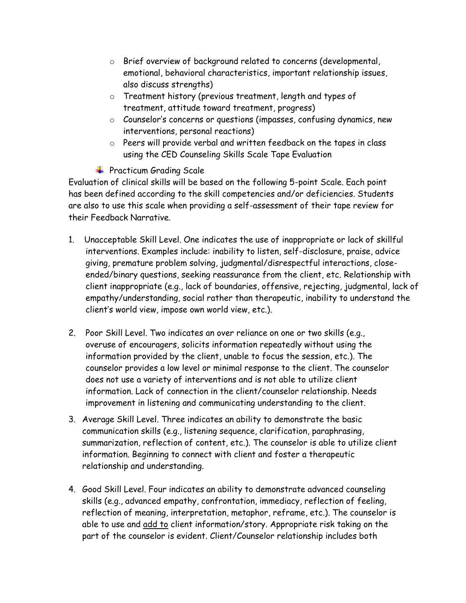- o Brief overview of background related to concerns (developmental, emotional, behavioral characteristics, important relationship issues, also discuss strengths)
- o Treatment history (previous treatment, length and types of treatment, attitude toward treatment, progress)
- o Counselor's concerns or questions (impasses, confusing dynamics, new interventions, personal reactions)
- o Peers will provide verbal and written feedback on the tapes in class using the CED Counseling Skills Scale Tape Evaluation
- **+** Practicum Grading Scale

Evaluation of clinical skills will be based on the following 5-point Scale. Each point has been defined according to the skill competencies and/or deficiencies. Students are also to use this scale when providing a self-assessment of their tape review for their Feedback Narrative.

- 1. Unacceptable Skill Level. One indicates the use of inappropriate or lack of skillful interventions. Examples include: inability to listen, self-disclosure, praise, advice giving, premature problem solving, judgmental/disrespectful interactions, closeended/binary questions, seeking reassurance from the client, etc. Relationship with client inappropriate (e.g., lack of boundaries, offensive, rejecting, judgmental, lack of empathy/understanding, social rather than therapeutic, inability to understand the client's world view, impose own world view, etc.).
- 2. Poor Skill Level. Two indicates an over reliance on one or two skills (e.g., overuse of encouragers, solicits information repeatedly without using the information provided by the client, unable to focus the session, etc.). The counselor provides a low level or minimal response to the client. The counselor does not use a variety of interventions and is not able to utilize client information. Lack of connection in the client/counselor relationship. Needs improvement in listening and communicating understanding to the client.
- 3. Average Skill Level. Three indicates an ability to demonstrate the basic communication skills (e.g., listening sequence, clarification, paraphrasing, summarization, reflection of content, etc.). The counselor is able to utilize client information. Beginning to connect with client and foster a therapeutic relationship and understanding.
- 4. Good Skill Level. Four indicates an ability to demonstrate advanced counseling skills (e.g., advanced empathy, confrontation, immediacy, reflection of feeling, reflection of meaning, interpretation, metaphor, reframe, etc.). The counselor is able to use and add to client information/story. Appropriate risk taking on the part of the counselor is evident. Client/Counselor relationship includes both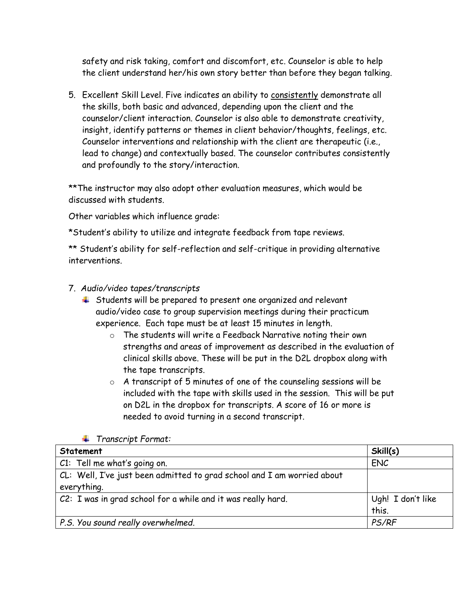safety and risk taking, comfort and discomfort, etc. Counselor is able to help the client understand her/his own story better than before they began talking.

5. Excellent Skill Level. Five indicates an ability to consistently demonstrate all the skills, both basic and advanced, depending upon the client and the counselor/client interaction. Counselor is also able to demonstrate creativity, insight, identify patterns or themes in client behavior/thoughts, feelings, etc. Counselor interventions and relationship with the client are therapeutic (i.e., lead to change) and contextually based. The counselor contributes consistently and profoundly to the story/interaction.

\*\*The instructor may also adopt other evaluation measures, which would be discussed with students.

Other variables which influence grade:

\*Student's ability to utilize and integrate feedback from tape reviews.

\*\* Student's ability for self-reflection and self-critique in providing alternative interventions.

## 7. *Audio/video tapes/transcripts*

- $\ddot{\phantom{1}}$  Students will be prepared to present one organized and relevant audio/video case to group supervision meetings during their practicum experience. Each tape must be at least 15 minutes in length.
	- o The students will write a Feedback Narrative noting their own strengths and areas of improvement as described in the evaluation of clinical skills above. These will be put in the D2L dropbox along with the tape transcripts.
	- $\circ$  A transcript of 5 minutes of one of the counseling sessions will be included with the tape with skills used in the session. This will be put on D2L in the dropbox for transcripts. A score of 16 or more is needed to avoid turning in a second transcript.

| Statement                                                                              | Skill(s)                   |
|----------------------------------------------------------------------------------------|----------------------------|
| C1: Tell me what's going on.                                                           | <b>ENC</b>                 |
| CL: Well, I've just been admitted to grad school and I am worried about<br>everything. |                            |
| C2: I was in grad school for a while and it was really hard.                           | Ugh! I don't like<br>this. |
| P.S. You sound really overwhelmed.                                                     | PS/RF                      |

*Transcript Format:*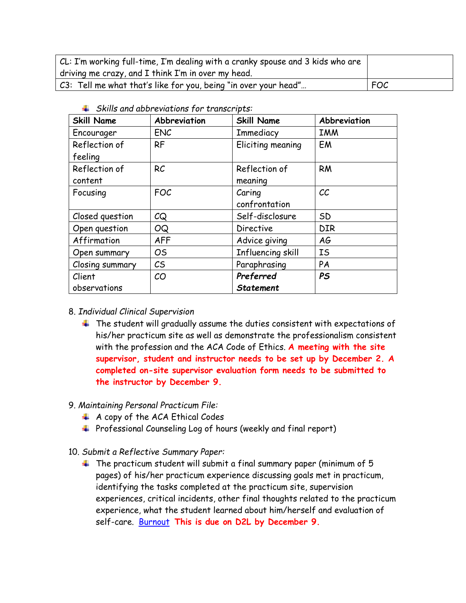| CL: I'm working full-time, I'm dealing with a cranky spouse and 3 kids who are |            |
|--------------------------------------------------------------------------------|------------|
| driving me crazy, and I think I'm in over my head.                             |            |
| C3: Tell me what that's like for you, being "in over your head"                | <b>FOC</b> |

| <b>Skill Name</b> | Abbreviation   | <b>Skill Name</b> | Abbreviation             |
|-------------------|----------------|-------------------|--------------------------|
| Encourager        | <b>ENC</b>     | Immediacy         | <b>IMM</b>               |
| Reflection of     | <b>RF</b>      | Eliciting meaning | EM                       |
| feeling           |                |                   |                          |
| Reflection of     | RC             | Reflection of     | <b>RM</b>                |
| content           |                | meaning           |                          |
| Focusing          | <b>FOC</b>     | Caring            | $\mathcal{C}\mathcal{C}$ |
|                   |                | confrontation     |                          |
| Closed question   | CQ             | Self-disclosure   | <b>SD</b>                |
| Open question     | <b>OQ</b>      | <b>Directive</b>  | <b>DIR</b>               |
| Affirmation       | <b>AFF</b>     | Advice giving     | AG                       |
| Open summary      | O <sub>S</sub> | Influencing skill | IS                       |
| Closing summary   | $\mathcal{C}$  | Paraphrasing      | PA                       |
| Client            | CO             | Preferred         | <b>PS</b>                |
| observations      |                | <b>Statement</b>  |                          |

*Skills and abbreviations for transcripts:*

#### 8. *Individual Clinical Supervision*

 $\ddotplus$  The student will gradually assume the duties consistent with expectations of his/her practicum site as well as demonstrate the professionalism consistent with the profession and the ACA Code of Ethics. **A meeting with the site supervisor, student and instructor needs to be set up by December 2. A completed on-site supervisor evaluation form needs to be submitted to the instructor by December 9.** 

#### 9. *Maintaining Personal Practicum File:*

- $\overline{\text{4}}$  A copy of the ACA Ethical Codes
- Professional Counseling Log of hours (weekly and final report)
- 10. *Submit a Reflective Summary Paper:*
	- $\ddotplus$  The practicum student will submit a final summary paper (minimum of 5 pages) of his/her practicum experience discussing goals met in practicum, identifying the tasks completed at the practicum site, supervision experiences, critical incidents, other final thoughts related to the practicum experience, what the student learned about him/herself and evaluation of self-care. [Burnout](http://www.hpso.com/resources/article/42.jsp) **This is due on D2L by December 9.**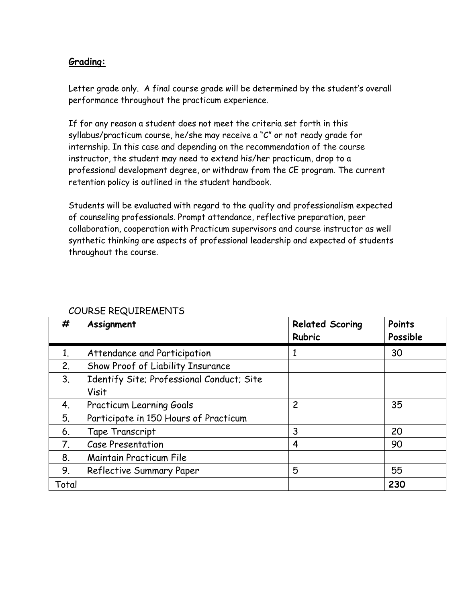# **Grading:**

Letter grade only. A final course grade will be determined by the student's overall performance throughout the practicum experience.

If for any reason a student does not meet the criteria set forth in this syllabus/practicum course, he/she may receive a "C" or not ready grade for internship. In this case and depending on the recommendation of the course instructor, the student may need to extend his/her practicum, drop to a professional development degree, or withdraw from the CE program. The current retention policy is outlined in the student handbook.

Students will be evaluated with regard to the quality and professionalism expected of counseling professionals. Prompt attendance, reflective preparation, peer collaboration, cooperation with Practicum supervisors and course instructor as well synthetic thinking are aspects of professional leadership and expected of students throughout the course.

| #     | Assignment                                         | <b>Related Scoring</b><br><b>Rubric</b> | Points<br>Possible |
|-------|----------------------------------------------------|-----------------------------------------|--------------------|
| 1.    | Attendance and Participation                       | 1                                       | 30                 |
| 2.    | Show Proof of Liability Insurance                  |                                         |                    |
| 3.    | Identify Site; Professional Conduct; Site<br>Visit |                                         |                    |
| 4.    | <b>Practicum Learning Goals</b>                    | $\overline{c}$                          | 35                 |
| 5.    | Participate in 150 Hours of Practicum              |                                         |                    |
| 6.    | Tape Transcript                                    | 3                                       | 20                 |
| 7.    | <b>Case Presentation</b>                           | 4                                       | 90                 |
| 8.    | <b>Maintain Practicum File</b>                     |                                         |                    |
| 9.    | Reflective Summary Paper                           | 5                                       | 55                 |
| Total |                                                    |                                         | 230                |

# COURSE REQUIREMENTS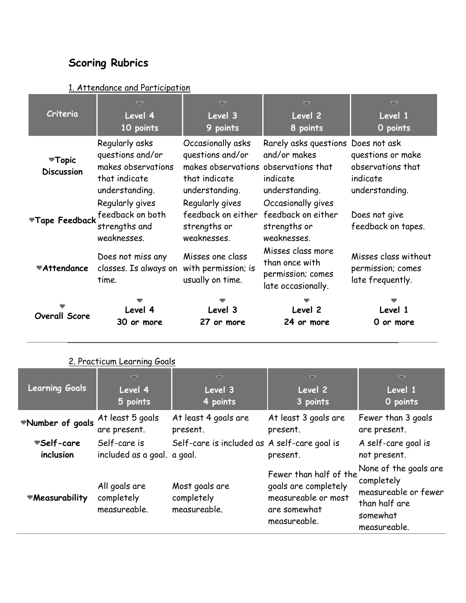# **Scoring Rubrics**

| Criteria                                        | $\overline{\nabla}$<br>Level 4<br>10 points                                                 | ᇦ<br>Level 3<br>9 points                                                                                         | ᇦ<br>Level 2<br>8 points                                                         | ▽<br>Level 1<br>O points                                             |
|-------------------------------------------------|---------------------------------------------------------------------------------------------|------------------------------------------------------------------------------------------------------------------|----------------------------------------------------------------------------------|----------------------------------------------------------------------|
| $\blacktriangledown$ Topic<br><b>Discussion</b> | Regularly asks<br>questions and/or<br>makes observations<br>that indicate<br>understanding. | Occasionally asks<br>questions and/or<br>makes observations observations that<br>that indicate<br>understanding. | Rarely asks questions Does not ask<br>and/or makes<br>indicate<br>understanding. | questions or make<br>observations that<br>indicate<br>understanding. |
|                                                 | Regularly gives<br>Tape Feedback feedback on both<br>strengths and<br>weaknesses.           | Regularly gives<br>feedback on either<br>strengths or<br>weaknesses.                                             | Occasionally gives<br>feedback on either<br>strengths or<br>weaknesses.          | Does not give<br>feedback on tapes.                                  |
| <b>▼Attendance</b>                              | Does not miss any<br>classes. Is always on<br>time.                                         | Misses one class<br>with permission; is<br>usually on time.                                                      | Misses class more<br>than once with<br>permission; comes<br>late occasionally.   | Misses class without<br>permission; comes<br>late frequently.        |
| <b>Overall Score</b>                            | Level 4<br>30 or more                                                                       | Level 3<br>27 or more                                                                                            | Level 2<br>24 or more                                                            | Level 1<br>0 or more                                                 |

# 2. Practicum Learning Goals

| <b>Learning Goals</b>                           | ᇦ<br>Level 4<br>5 points                    | $\overline{\smile}$<br>Level 3<br>4 points   | $\overline{\smile}$<br>Level 2<br>3 points                                                            | $\overline{\smile}$<br>Level 1<br>O points                                                               |
|-------------------------------------------------|---------------------------------------------|----------------------------------------------|-------------------------------------------------------------------------------------------------------|----------------------------------------------------------------------------------------------------------|
| *Number of goals At least 5 goals               | are present.                                | At least 4 goals are<br>present.             | At least 3 goals are<br>present.                                                                      | Fewer than 3 goals<br>are present.                                                                       |
| <del></del> <del>■</del> Self-care<br>inclusion | Self-care is<br>included as a goal. a goal. | Self-care is included as A self-care goal is | present.                                                                                              | A self-care goal is<br>not present.                                                                      |
| *Measurability                                  | All goals are<br>completely<br>measureable. | Most goals are<br>completely<br>measureable. | Fewer than half of the<br>goals are completely<br>measureable or most<br>are somewhat<br>measureable. | None of the goals are<br>completely<br>measureable or fewer<br>than half are<br>somewhat<br>measureable. |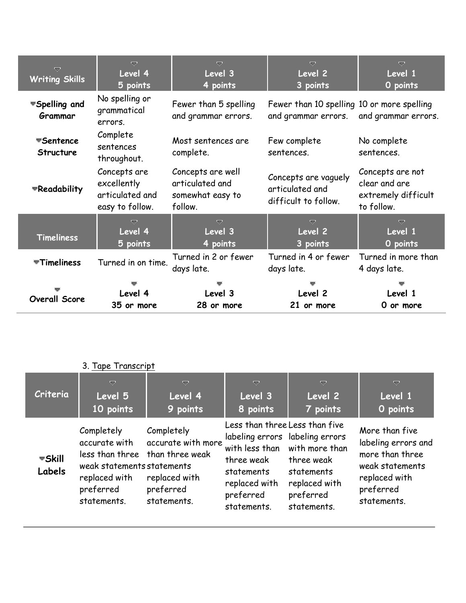| ᇦ<br><b>Writing Skills</b>           | $\overline{\nabla}$<br>Level 4<br>5 points                        | $\overline{\nabla}$<br>Level 3<br>4 points                          | ▽<br>Level <sub>2</sub><br>3 points                               | $\overline{\nabla}$<br>Level 1<br>O points                             |
|--------------------------------------|-------------------------------------------------------------------|---------------------------------------------------------------------|-------------------------------------------------------------------|------------------------------------------------------------------------|
| ▼Spelling and<br>Grammar             | No spelling or<br>grammatical<br>errors.                          | Fewer than 5 spelling<br>and grammar errors.                        | Fewer than 10 spelling 10 or more spelling<br>and grammar errors. | and grammar errors.                                                    |
| <b>≂Sentence</b><br><b>Structure</b> | Complete<br>sentences<br>throughout.                              | Most sentences are<br>complete.                                     | Few complete<br>sentences.                                        | No complete<br>sentences.                                              |
| ▼Readability                         | Concepts are<br>excellently<br>articulated and<br>easy to follow. | Concepts are well<br>articulated and<br>somewhat easy to<br>follow. | Concepts are vaguely<br>articulated and<br>difficult to follow.   | Concepts are not<br>clear and are<br>extremely difficult<br>to follow. |
| <b>Timeliness</b>                    | ᇦ<br>Level 4<br>5 points                                          | $\overline{\nabla}$<br>Level 3<br>4 points                          | $\overline{\nabla}$<br>Level 2<br>3 points                        | $\overline{\nabla}$<br>Level 1<br>O points                             |
| $\overline{\mathbf{v}}$ Timeliness   | Turned in on time.                                                | Turned in 2 or fewer<br>days late.                                  | Turned in 4 or fewer<br>days late.                                | Turned in more than<br>4 days late.                                    |
| <b>Overall Score</b>                 | Level 4<br>35 or more                                             | Level 3<br>28 or more                                               | Level 2<br>21 or more                                             | Level 1<br>0 or more                                                   |

# 3. Tape Transcript

| Criteria                                             | $\overline{\smile}$                                                                                                                       | ▽                                                                             | ▽                                                                                                                                                            | ▽                                                                                       | ▽                                                                                                                        |
|------------------------------------------------------|-------------------------------------------------------------------------------------------------------------------------------------------|-------------------------------------------------------------------------------|--------------------------------------------------------------------------------------------------------------------------------------------------------------|-----------------------------------------------------------------------------------------|--------------------------------------------------------------------------------------------------------------------------|
|                                                      | Level 5                                                                                                                                   | Level 4                                                                       | Level 3                                                                                                                                                      | Level 2                                                                                 | Level 1                                                                                                                  |
|                                                      | 10 points                                                                                                                                 | 9 points                                                                      | 8 points                                                                                                                                                     | 7 points                                                                                | O points                                                                                                                 |
| <del></del> <del></del> <del>s</del> Skill<br>Labels | Completely<br>accurate with<br>less than three than three weak<br>weak statements statements<br>replaced with<br>preferred<br>statements. | Completely<br>accurate with more<br>replaced with<br>preferred<br>statements. | Less than three Less than five<br>labeling errors labeling errors<br>with less than<br>three weak<br>statements<br>replaced with<br>preferred<br>statements. | with more than<br>three weak<br>statements<br>replaced with<br>preferred<br>statements. | More than five<br>labeling errors and<br>more than three<br>weak statements<br>replaced with<br>preferred<br>statements. |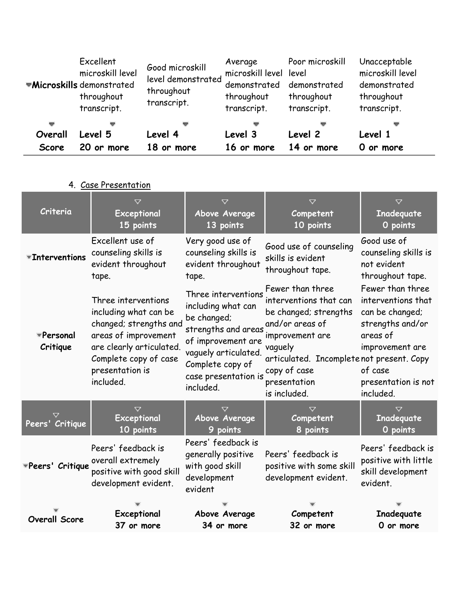|         | Excellent<br>microskill level<br><b>Wicroskills</b> demonstrated<br>throughout<br>transcript. | Good microskill<br>level demonstrated<br>throughout<br>transcript. | Average<br>microskill level level<br>demonstrated<br>throughout<br>transcript. | Poor microskill<br>demonstrated<br>throughout<br>transcript. | Unacceptable<br>microskill level<br>demonstrated<br>throughout<br>transcript. |
|---------|-----------------------------------------------------------------------------------------------|--------------------------------------------------------------------|--------------------------------------------------------------------------------|--------------------------------------------------------------|-------------------------------------------------------------------------------|
| ▽       |                                                                                               |                                                                    |                                                                                |                                                              |                                                                               |
| Overall | Level 5                                                                                       | Level 4                                                            | Level 3                                                                        | Level 2                                                      | Level 1                                                                       |
| Score   | 20 or more                                                                                    | 18 or more                                                         | 16 or more                                                                     | 14 or more                                                   | O or more                                                                     |

# 4. Case Presentation

| Criteria              | $\checkmark$                                                                                                                                                                        | $\checkmark$                                                                                                                                                                           | $\checkmark$                                                                                                                                                                                                      | $\checkmark$                                                                                                                                                |
|-----------------------|-------------------------------------------------------------------------------------------------------------------------------------------------------------------------------------|----------------------------------------------------------------------------------------------------------------------------------------------------------------------------------------|-------------------------------------------------------------------------------------------------------------------------------------------------------------------------------------------------------------------|-------------------------------------------------------------------------------------------------------------------------------------------------------------|
|                       | Exceptional                                                                                                                                                                         | Above Average                                                                                                                                                                          | Competent                                                                                                                                                                                                         | Inadequate                                                                                                                                                  |
|                       | 15 points                                                                                                                                                                           | 13 points                                                                                                                                                                              | 10 points                                                                                                                                                                                                         | O points                                                                                                                                                    |
| <b>Thterventions</b>  | Excellent use of<br>counseling skills is<br>evident throughout<br>tape.                                                                                                             | Very good use of<br>counseling skills is<br>evident throughout<br>tape.                                                                                                                | Good use of counseling<br>skills is evident<br>throughout tape.                                                                                                                                                   | Good use of<br>counseling skills is<br>not evident<br>throughout tape.                                                                                      |
| *Personal<br>Critique | Three interventions<br>including what can be<br>changed; strengths and<br>areas of improvement<br>are clearly articulated.<br>Complete copy of case<br>presentation is<br>included. | Three interventions<br>including what can<br>be changed;<br>strengths and areas<br>of improvement are<br>vaguely articulated.<br>Complete copy of<br>case presentation is<br>included. | Fewer than three<br>interventions that can<br>be changed; strengths<br>and/or areas of<br>improvement are<br>vaguely<br>articulated. Incomplete not present. Copy<br>copy of case<br>presentation<br>is included. | Fewer than three<br>interventions that<br>can be changed;<br>strengths and/or<br>areas of<br>improvement are<br>of case<br>presentation is not<br>included. |
| Peers' Critique       | $\triangledown$                                                                                                                                                                     | $\checkmark$                                                                                                                                                                           | $\triangledown$                                                                                                                                                                                                   | $\checkmark$                                                                                                                                                |
|                       | Exceptional                                                                                                                                                                         | Above Average                                                                                                                                                                          | Competent                                                                                                                                                                                                         | <b>Inadequate</b>                                                                                                                                           |
|                       | 10 points                                                                                                                                                                           | 9 points                                                                                                                                                                               | 8 points                                                                                                                                                                                                          | 0 points                                                                                                                                                    |
| *Peers' Critique      | Peers' feedback is<br>overall extremely<br>positive with good skill<br>development evident.                                                                                         | Peers' feedback is<br>generally positive<br>with good skill<br>development<br>evident                                                                                                  | Peers' feedback is<br>positive with some skill<br>development evident.                                                                                                                                            | Peers' feedback is<br>positive with little<br>skill development<br>evident.                                                                                 |
| <b>Overall Score</b>  | Exceptional                                                                                                                                                                         | Above Average                                                                                                                                                                          | Competent                                                                                                                                                                                                         | Inadequate                                                                                                                                                  |
|                       | 37 or more                                                                                                                                                                          | 34 or more                                                                                                                                                                             | 32 or more                                                                                                                                                                                                        | 0 or more                                                                                                                                                   |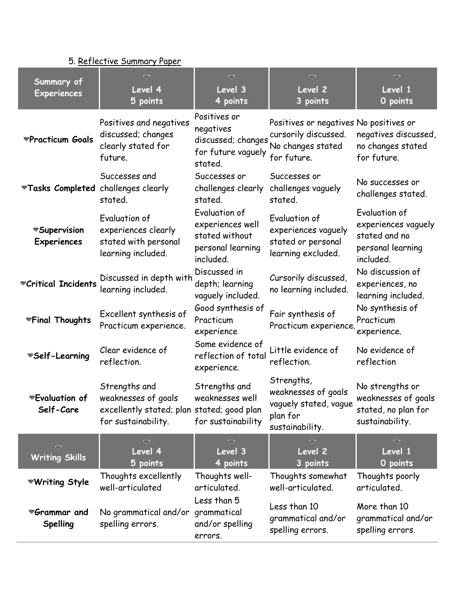# 5. Reflective Summary Paper

| Summary of<br><b>Experiences</b>                    | ᇦ<br>Level 4<br>5 points                                                                                  | Ō<br>Level <sub>3</sub><br>4 points                                                   | ᇦ<br>Level <sub>2</sub><br>3 points                                                                | ᇦ<br>Level 1<br>O points                                                                |
|-----------------------------------------------------|-----------------------------------------------------------------------------------------------------------|---------------------------------------------------------------------------------------|----------------------------------------------------------------------------------------------------|-----------------------------------------------------------------------------------------|
| <b>▼Practicum Goals</b>                             | Positives and negatives<br>discussed; changes<br>clearly stated for<br>future.                            | Positives or<br>negatives<br>discussed; changes<br>for future vaguely<br>stated.      | Positives or negatives No positives or<br>cursorily discussed.<br>No changes stated<br>for future. | negatives discussed,<br>no changes stated<br>for future.                                |
| Tasks Completed challenges clearly                  | Successes and<br>stated.                                                                                  | Successes or<br>challenges clearly<br>stated.                                         | Successes or<br>challenges vaguely<br>stated.                                                      | No successes or<br>challenges stated.                                                   |
| Supervision<br>Experiences                          | Evaluation of<br>experiences clearly<br>stated with personal<br>learning included.                        | Evaluation of<br>experiences well<br>stated without<br>personal learning<br>included. | Evaluation of<br>experiences vaguely<br>stated or personal<br>learning excluded.                   | Evaluation of<br>experiences vaguely<br>stated and no<br>personal learning<br>included. |
| Critical Incidents                                  | Discussed in depth with<br>learning included.                                                             | Discussed in<br>depth; learning<br>vaguely included.                                  | Cursorily discussed,<br>no learning included.                                                      | No discussion of<br>experiences, no<br>learning included.                               |
| <b>▼Final Thoughts</b>                              | Excellent synthesis of<br>Practicum experience.                                                           | Good synthesis of<br>Practicum<br>experience                                          | Fair synthesis of<br>Practicum experience.                                                         | No synthesis of<br>Practicum<br>experience.                                             |
| Self-Learning                                       | Clear evidence of<br>reflection.                                                                          | Some evidence of<br>reflection of total<br>experience.                                | Little evidence of<br>reflection.                                                                  | No evidence of<br>reflection                                                            |
| <del></del> <del></del> ■Evaluation of<br>Self-Care | Strengths and<br>weaknesses of goals<br>excellently stated; plan stated; good plan<br>for sustainability. | Strengths and<br>weaknesses well<br>for sustainability                                | Strengths,<br>weaknesses of goals<br>vaguely stated, vague<br>plan for<br>sustainability.          | No strengths or<br>weaknesses of goals<br>stated, no plan for<br>sustainability.        |
| $\overline{\nabla}$<br><b>Writing Skills</b>        | v<br>Level 4<br>5 points                                                                                  | v<br>Level 3<br>4 points                                                              | ᇦ<br>Level 2<br>3 points                                                                           | Ó<br>Level 1<br>O points                                                                |
| ▼Writing Style                                      | Thoughts excellently<br>well-articulated                                                                  | Thoughts well-<br>articulated.                                                        | Thoughts somewhat<br>well-articulated.                                                             | Thoughts poorly<br>articulated.                                                         |
| ▼Grammar and<br><b>Spelling</b>                     | No grammatical and/or grammatical<br>spelling errors.                                                     | Less than 5<br>and/or spelling<br>errors.                                             | Less than 10<br>grammatical and/or<br>spelling errors.                                             | More than 10<br>grammatical and/or<br>spelling errors.                                  |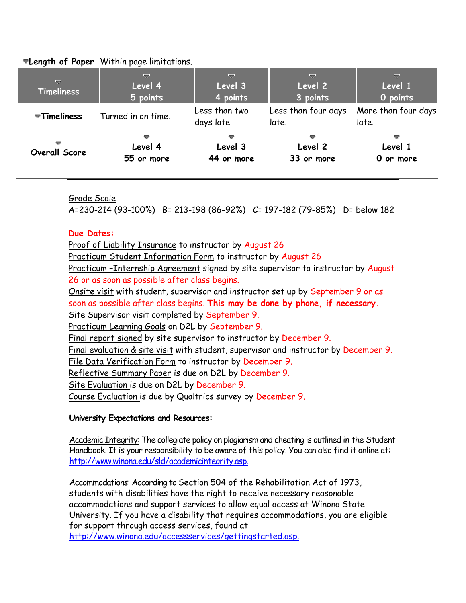**Length of Paper** Within page limitations.

| ▽<br><b>Timeliness</b>             | ▽<br>Level 4<br>5 points   | ▽<br>Level 3<br>4 points    | ▽<br>Level 2<br>3 points     | ▽<br>Level 1<br>O points     |
|------------------------------------|----------------------------|-----------------------------|------------------------------|------------------------------|
| $\overline{\mathbf{v}}$ Timeliness | Turned in on time.         | Less than two<br>days late. | Less than four days<br>late. | More than four days<br>late. |
| Overall Score                      | ▼<br>Level 4<br>55 or more | Level 3<br>44 or more       | Level 2<br>33 or more        | Level 1<br>0 or more         |

Grade Scale

A=230-214 (93-100%) B= 213-198 (86-92%) C= 197-182 (79-85%) D= below 182

#### **Due Dates:**

Proof of Liability Insurance to instructor by August 26 Practicum Student Information Form to instructor by August 26 Practicum –Internship Agreement signed by site supervisor to instructor by August 26 or as soon as possible after class begins. Onsite visit with student, supervisor and instructor set up by September 9 or as soon as possible after class begins. **This may be done by phone, if necessary.** Site Supervisor visit completed by September 9. Practicum Learning Goals on D2L by September 9. Final report signed by site supervisor to instructor by December 9. Final evaluation & site visit with student, supervisor and instructor by December 9. File Data Verification Form to instructor by December 9. Reflective Summary Paper is due on D2L by December 9. Site Evaluation is due on D2L by December 9. Course Evaluation is due by Qualtrics survey by December 9.

#### **University Expectations and Resources:**

Academic Integrity: The collegiate policy on plagiarism and cheating is outlined in the Student Handbook. It is your responsibility to be aware of this policy. You can also find it online at: [http://www.winona.edu/sld/academicintegrity.asp.](http://www.winona.edu/sld/academicintegrity.asp)

Accommodations: According to Section 504 of the Rehabilitation Act of 1973, students with disabilities have the right to receive necessary reasonable accommodations and support services to allow equal access at Winona State University. If you have a disability that requires accommodations, you are eligible for support through access services, found at [http://www.winona.edu/accessservices/gettingstarted.asp.](http://www.winona.edu/accessservices/gettingstarted.asp)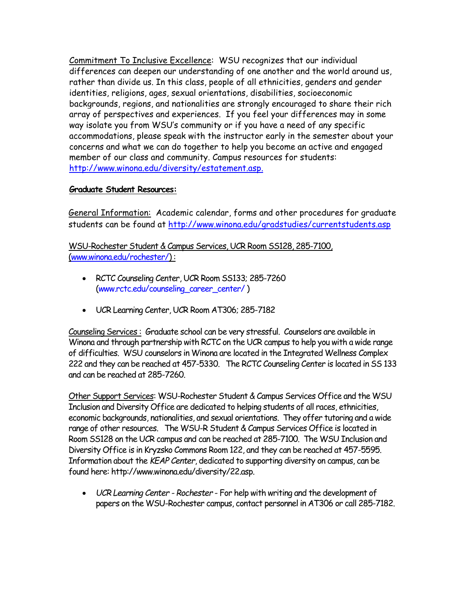Commitment To Inclusive Excellence: WSU recognizes that our individual differences can deepen our understanding of one another and the world around us, rather than divide us. In this class, people of all ethnicities, genders and gender identities, religions, ages, sexual orientations, disabilities, socioeconomic backgrounds, regions, and nationalities are strongly encouraged to share their rich array of perspectives and experiences. If you feel your differences may in some way isolate you from WSU's community or if you have a need of any specific accommodations, please speak with the instructor early in the semester about your concerns and what we can do together to help you become an active and engaged member of our class and community. Campus resources for students: [http://www.winona.edu/diversity/estatement.asp.](http://www.winona.edu/diversity/estatement.asp)

#### **Graduate Student Resources:**

General Information: Academic calendar, forms and other procedures for graduate students can be found at<http://www.winona.edu/gradstudies/currentstudents.asp>

WSU-Rochester Student & Campus Services, UCR Room SS128, 285-7100, [\(www.winona.edu/rochester/\)](http://www.winona.edu/rochester/) :

- RCTC Counseling Center, UCR Room SS133; 285-7260 [\(www.rctc.edu/counseling\\_career\\_center/](http://www.rctc.edu/counseling_career_center/) )
- UCR Learning Center, UCR Room AT306; 285-7182

Counseling Services : Graduate school can be very stressful. Counselors are available in Winona and through partnership with RCTC on the UCR campus to help you with a wide range of difficulties. WSU counselors in Winona are located in the Integrated Wellness Complex 222 and they can be reached at 457-5330. The RCTC Counseling Center is located in SS 133 and can be reached at 285-7260.

Other Support Services: WSU-Rochester Student & Campus Services Office and the WSU Inclusion and Diversity Office are dedicated to helping students of all races, ethnicities, economic backgrounds, nationalities, and sexual orientations. They offer tutoring and a wide range of other resources. The WSU-R Student & Campus Services Office is located in Room SS128 on the UCR campus and can be reached at 285-7100. The WSU Inclusion and Diversity Office is in Kryzsko Commons Room 122, and they can be reached at 457-5595. Information about the *KEAP Center*, dedicated to supporting diversity on campus, can be found here: http://www.winona.edu/diversity/22.asp.

 *UCR Learning Center - Rochester* - For help with writing and the development of papers on the WSU-Rochester campus, contact personnel in AT306 or call 285-7182.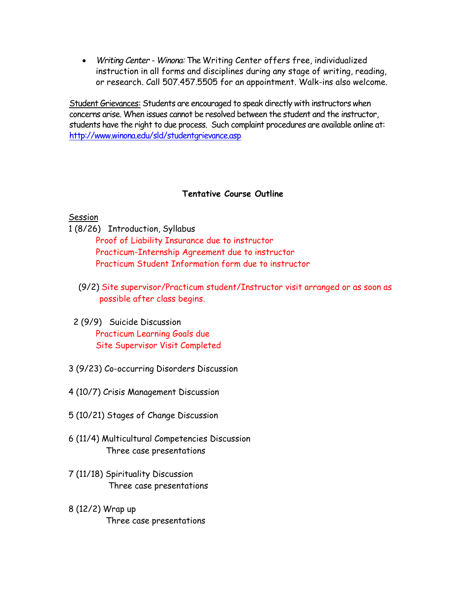*Writing Center - Winona:* The Writing Center offers free, individualized instruction in all forms and disciplines during any stage of writing, reading, or research. Call 507.457.5505 for an appointment. Walk-ins also welcome.

Student Grievances: Students are encouraged to speak directly with instructors when concerns arise. When issues cannot be resolved between the student and the instructor, students have the right to due process. Such complaint procedures are available online at: <http://www.winona.edu/sld/studentgrievance.asp>

#### **Tentative Course Outline**

#### **Session**

1 (8/26) Introduction, Syllabus

 Proof of Liability Insurance due to instructor Practicum-Internship Agreement due to instructor Practicum Student Information form due to instructor

- (9/2) Site supervisor/Practicum student/Instructor visit arranged or as soon as possible after class begins.
- 2 (9/9) Suicide Discussion Practicum Learning Goals due Site Supervisor Visit Completed
- 3 (9/23) Co-occurring Disorders Discussion
- 4 (10/7) Crisis Management Discussion
- 5 (10/21) Stages of Change Discussion
- 6 (11/4) Multicultural Competencies Discussion Three case presentations
- 7 (11/18) Spirituality Discussion Three case presentations
- 8 (12/2) Wrap up Three case presentations